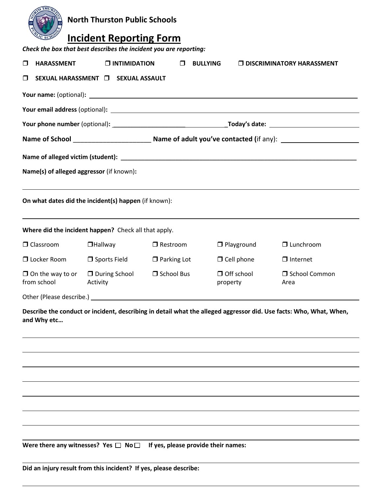| <b>H THUI</b>                                                                                                                     | <b>North Thurston Public Schools</b> |                                                                                                                                                                                                                                |                               |                                  |  |  |  |  |
|-----------------------------------------------------------------------------------------------------------------------------------|--------------------------------------|--------------------------------------------------------------------------------------------------------------------------------------------------------------------------------------------------------------------------------|-------------------------------|----------------------------------|--|--|--|--|
| <b>Incident Reporting Form</b>                                                                                                    |                                      |                                                                                                                                                                                                                                |                               |                                  |  |  |  |  |
| Check the box that best describes the incident you are reporting:                                                                 |                                      |                                                                                                                                                                                                                                |                               |                                  |  |  |  |  |
| <b>HARASSMENT</b><br>□                                                                                                            | $\Box$ INTIMIDATION                  | $\Box$                                                                                                                                                                                                                         | <b>BULLYING</b>               | $\Box$ DISCRIMINATORY HARASSMENT |  |  |  |  |
| $\Box$<br>SEXUAL HARASSMENT [ SEXUAL ASSAULT                                                                                      |                                      |                                                                                                                                                                                                                                |                               |                                  |  |  |  |  |
|                                                                                                                                   |                                      |                                                                                                                                                                                                                                |                               |                                  |  |  |  |  |
|                                                                                                                                   |                                      |                                                                                                                                                                                                                                |                               |                                  |  |  |  |  |
|                                                                                                                                   |                                      |                                                                                                                                                                                                                                |                               |                                  |  |  |  |  |
|                                                                                                                                   |                                      |                                                                                                                                                                                                                                |                               |                                  |  |  |  |  |
|                                                                                                                                   |                                      |                                                                                                                                                                                                                                |                               |                                  |  |  |  |  |
| Name(s) of alleged aggressor (if known):                                                                                          |                                      |                                                                                                                                                                                                                                |                               |                                  |  |  |  |  |
| On what dates did the incident(s) happen (if known):                                                                              |                                      |                                                                                                                                                                                                                                |                               |                                  |  |  |  |  |
| Where did the incident happen? Check all that apply.                                                                              |                                      |                                                                                                                                                                                                                                |                               |                                  |  |  |  |  |
| $\Box$ Classroom                                                                                                                  | $\Box$ Hallway                       | $\Box$ Restroom                                                                                                                                                                                                                | $\Box$ Playground             | $\Box$ Lunchroom                 |  |  |  |  |
| $\Box$ Locker Room                                                                                                                | $\Box$ Sports Field                  | $\Box$ Parking Lot                                                                                                                                                                                                             | $\Box$ Cell phone             | $\Box$ Internet                  |  |  |  |  |
| $\Box$ On the way to or<br>from school Activity                                                                                   | $\Box$ During School                 | School Bus                                                                                                                                                                                                                     | $\Box$ Off school<br>property | □ School Common<br>Area          |  |  |  |  |
|                                                                                                                                   |                                      | Other (Please describe.) Notice and the contract of the contract of the contract of the contract of the contract of the contract of the contract of the contract of the contract of the contract of the contract of the contra |                               |                                  |  |  |  |  |
| Describe the conduct or incident, describing in detail what the alleged aggressor did. Use facts: Who, What, When,<br>and Why etc |                                      |                                                                                                                                                                                                                                |                               |                                  |  |  |  |  |
|                                                                                                                                   |                                      |                                                                                                                                                                                                                                |                               |                                  |  |  |  |  |
|                                                                                                                                   |                                      |                                                                                                                                                                                                                                |                               |                                  |  |  |  |  |
|                                                                                                                                   |                                      |                                                                                                                                                                                                                                |                               |                                  |  |  |  |  |
|                                                                                                                                   |                                      |                                                                                                                                                                                                                                |                               |                                  |  |  |  |  |
|                                                                                                                                   |                                      |                                                                                                                                                                                                                                |                               |                                  |  |  |  |  |
|                                                                                                                                   |                                      |                                                                                                                                                                                                                                |                               |                                  |  |  |  |  |
| Were there any witnesses? Yes $\Box$ No $\Box$ If yes, please provide their names:                                                |                                      |                                                                                                                                                                                                                                |                               |                                  |  |  |  |  |
| Did an injury result from this incident? If yes, please describe:                                                                 |                                      |                                                                                                                                                                                                                                |                               |                                  |  |  |  |  |